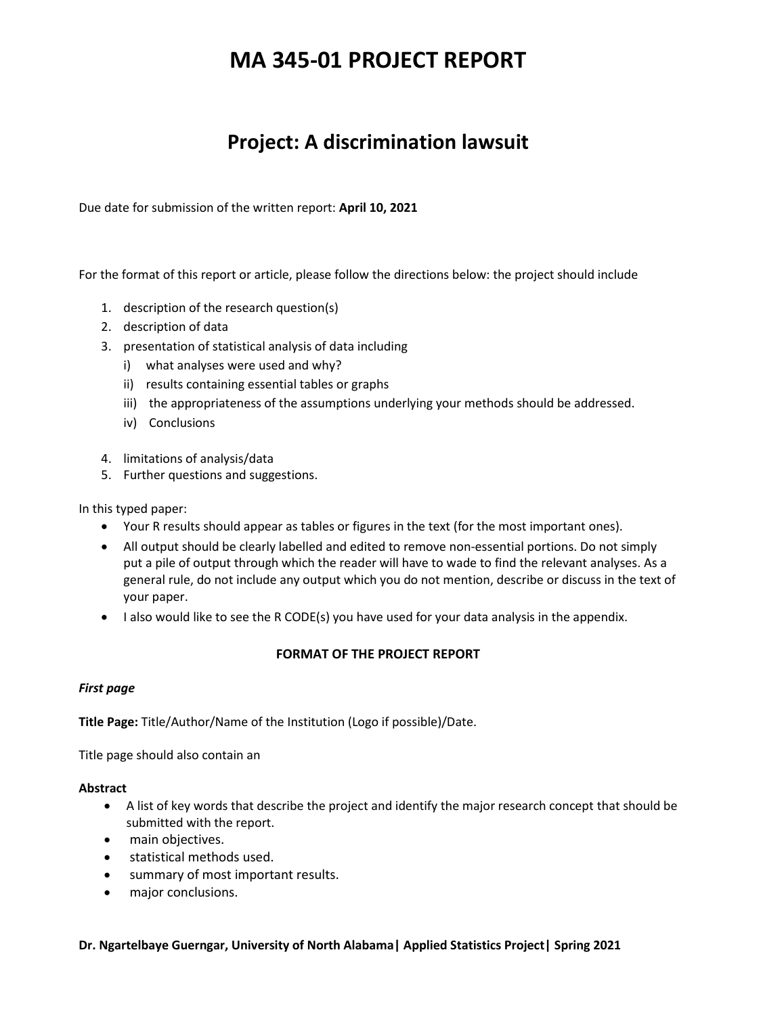# **MA 345-01 PROJECT REPORT**

# **Project: A discrimination lawsuit**

Due date for submission of the written report: **April 10, 2021** 

For the format of this report or article, please follow the directions below: the project should include

- 1. description of the research question(s)
- 2. description of data
- 3. presentation of statistical analysis of data including
	- i) what analyses were used and why?
	- ii) results containing essential tables or graphs
	- iii) the appropriateness of the assumptions underlying your methods should be addressed.
	- iv) Conclusions
- 4. limitations of analysis/data
- 5. Further questions and suggestions.

In this typed paper:

- Your R results should appear as tables or figures in the text (for the most important ones).
- All output should be clearly labelled and edited to remove non-essential portions. Do not simply put a pile of output through which the reader will have to wade to find the relevant analyses. As a general rule, do not include any output which you do not mention, describe or discuss in the text of your paper.
- I also would like to see the R CODE(s) you have used for your data analysis in the appendix.

### **FORMAT OF THE PROJECT REPORT**

#### *First page*

**Title Page:** Title/Author/Name of the Institution (Logo if possible)/Date.

Title page should also contain an

#### **Abstract**

- A list of key words that describe the project and identify the major research concept that should be submitted with the report.
- main objectives.
- statistical methods used.
- summary of most important results.
- major conclusions.

#### **Dr. Ngartelbaye Guerngar, University of North Alabama| Applied Statistics Project| Spring 2021**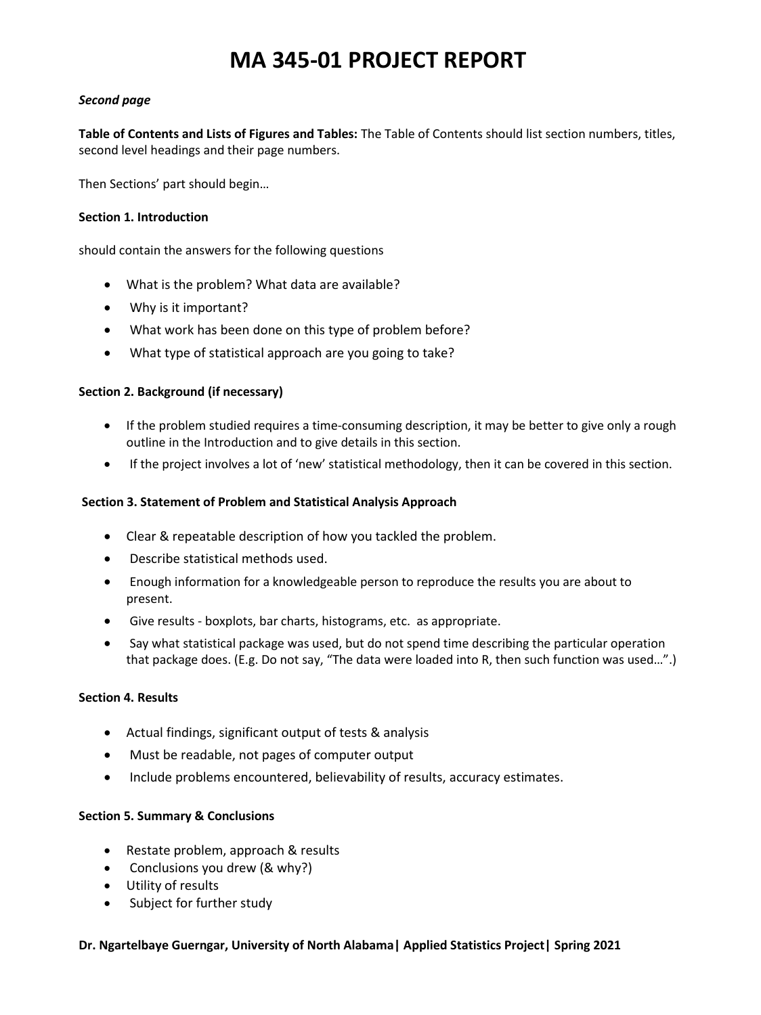# **MA 345-01 PROJECT REPORT**

### *Second page*

**Table of Contents and Lists of Figures and Tables:** The Table of Contents should list section numbers, titles, second level headings and their page numbers.

Then Sections' part should begin…

### **Section 1. Introduction**

should contain the answers for the following questions

- What is the problem? What data are available?
- Why is it important?
- What work has been done on this type of problem before?
- What type of statistical approach are you going to take?

### **Section 2. Background (if necessary)**

- If the problem studied requires a time-consuming description, it may be better to give only a rough outline in the Introduction and to give details in this section.
- If the project involves a lot of 'new' statistical methodology, then it can be covered in this section.

# **Section 3. Statement of Problem and Statistical Analysis Approach**

- Clear & repeatable description of how you tackled the problem.
- Describe statistical methods used.
- Enough information for a knowledgeable person to reproduce the results you are about to present.
- Give results ‐ boxplots, bar charts, histograms, etc. as appropriate.
- Say what statistical package was used, but do not spend time describing the particular operation that package does. (E.g. Do not say, "The data were loaded into R, then such function was used…".)

### **Section 4. Results**

- Actual findings, significant output of tests & analysis
- Must be readable, not pages of computer output
- Include problems encountered, believability of results, accuracy estimates.

### **Section 5. Summary & Conclusions**

- Restate problem, approach & results
- Conclusions you drew (& why?)
- Utility of results
- Subject for further study

### **Dr. Ngartelbaye Guerngar, University of North Alabama| Applied Statistics Project| Spring 2021**